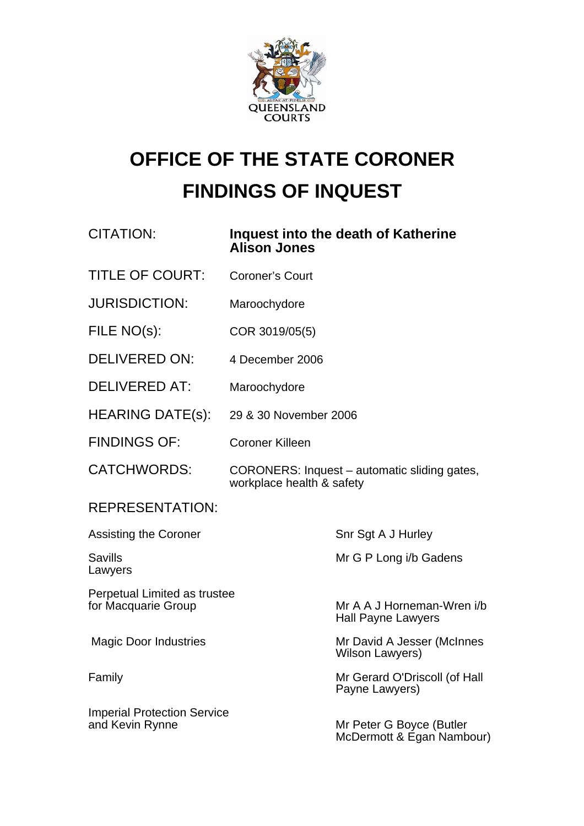

# **OFFICE OF THE STATE CORONER FINDINGS OF INQUEST**

| <b>CITATION:</b>                                      | <b>Alison Jones</b>                                                       | Inquest into the death of Katherine                     |
|-------------------------------------------------------|---------------------------------------------------------------------------|---------------------------------------------------------|
| <b>TITLE OF COURT:</b>                                | <b>Coroner's Court</b>                                                    |                                                         |
| <b>JURISDICTION:</b>                                  | Maroochydore                                                              |                                                         |
| FILE NO(s):                                           | COR 3019/05(5)                                                            |                                                         |
| <b>DELIVERED ON:</b>                                  | 4 December 2006                                                           |                                                         |
| <b>DELIVERED AT:</b>                                  | Maroochydore                                                              |                                                         |
| <b>HEARING DATE(s):</b>                               | 29 & 30 November 2006                                                     |                                                         |
| <b>FINDINGS OF:</b>                                   | <b>Coroner Killeen</b>                                                    |                                                         |
| <b>CATCHWORDS:</b>                                    | CORONERS: Inquest – automatic sliding gates,<br>workplace health & safety |                                                         |
| <b>REPRESENTATION:</b>                                |                                                                           |                                                         |
| <b>Assisting the Coroner</b>                          |                                                                           | Snr Sgt A J Hurley                                      |
| <b>Savills</b><br>Lawyers                             |                                                                           | Mr G P Long i/b Gadens                                  |
| Perpetual Limited as trustee<br>for Macquarie Group   |                                                                           | Mr A A J Horneman-Wren i/b<br><b>Hall Payne Lawyers</b> |
| <b>Magic Door Industries</b>                          |                                                                           | Mr David A Jesser (McInnes<br>Wilson Lawyers)           |
| Family                                                |                                                                           | Mr Gerard O'Driscoll (of Hall<br>Payne Lawyers)         |
| <b>Imperial Protection Service</b><br>and Kevin Rynne |                                                                           | Mr Peter G Boyce (Butler<br>McDermott & Egan Nambour)   |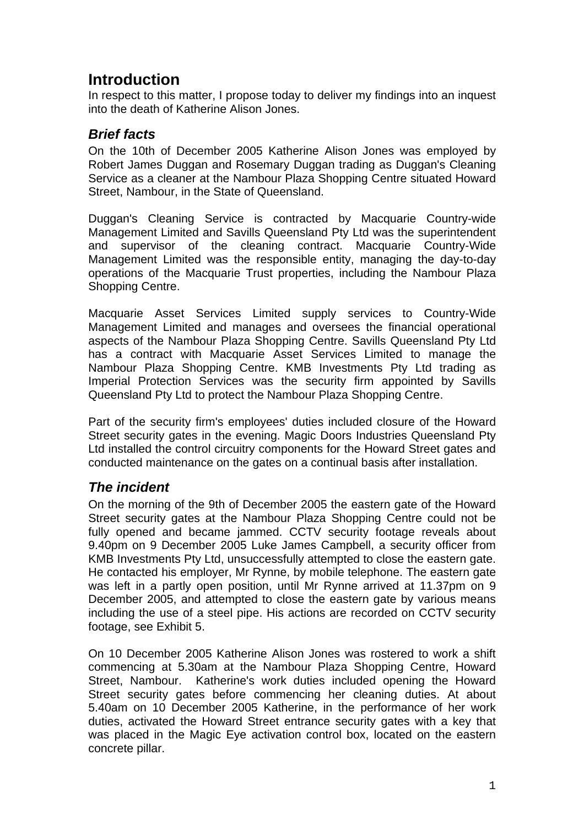## **Introduction**

In respect to this matter, I propose today to deliver my findings into an inquest into the death of Katherine Alison Jones.

### *Brief facts*

On the 10th of December 2005 Katherine Alison Jones was employed by Robert James Duggan and Rosemary Duggan trading as Duggan's Cleaning Service as a cleaner at the Nambour Plaza Shopping Centre situated Howard Street, Nambour, in the State of Queensland.

Duggan's Cleaning Service is contracted by Macquarie Country-wide Management Limited and Savills Queensland Pty Ltd was the superintendent and supervisor of the cleaning contract. Macquarie Country-Wide Management Limited was the responsible entity, managing the day-to-day operations of the Macquarie Trust properties, including the Nambour Plaza Shopping Centre.

Macquarie Asset Services Limited supply services to Country-Wide Management Limited and manages and oversees the financial operational aspects of the Nambour Plaza Shopping Centre. Savills Queensland Pty Ltd has a contract with Macquarie Asset Services Limited to manage the Nambour Plaza Shopping Centre. KMB Investments Pty Ltd trading as Imperial Protection Services was the security firm appointed by Savills Queensland Pty Ltd to protect the Nambour Plaza Shopping Centre.

Part of the security firm's employees' duties included closure of the Howard Street security gates in the evening. Magic Doors Industries Queensland Pty Ltd installed the control circuitry components for the Howard Street gates and conducted maintenance on the gates on a continual basis after installation.

### *The incident*

On the morning of the 9th of December 2005 the eastern gate of the Howard Street security gates at the Nambour Plaza Shopping Centre could not be fully opened and became jammed. CCTV security footage reveals about 9.40pm on 9 December 2005 Luke James Campbell, a security officer from KMB Investments Pty Ltd, unsuccessfully attempted to close the eastern gate. He contacted his employer, Mr Rynne, by mobile telephone. The eastern gate was left in a partly open position, until Mr Rynne arrived at 11.37pm on 9 December 2005, and attempted to close the eastern gate by various means including the use of a steel pipe. His actions are recorded on CCTV security footage, see Exhibit 5.

On 10 December 2005 Katherine Alison Jones was rostered to work a shift commencing at 5.30am at the Nambour Plaza Shopping Centre, Howard Street, Nambour. Katherine's work duties included opening the Howard Street security gates before commencing her cleaning duties. At about 5.40am on 10 December 2005 Katherine, in the performance of her work duties, activated the Howard Street entrance security gates with a key that was placed in the Magic Eye activation control box, located on the eastern concrete pillar.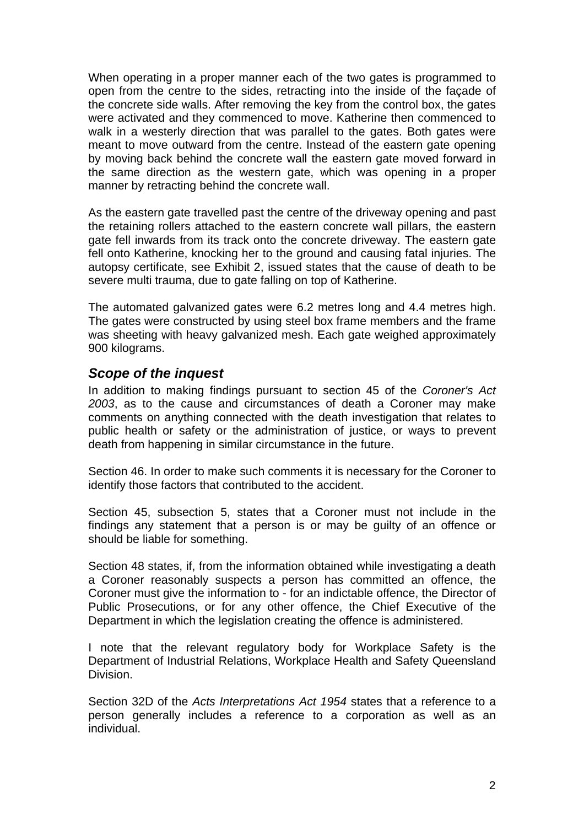When operating in a proper manner each of the two gates is programmed to open from the centre to the sides, retracting into the inside of the façade of the concrete side walls. After removing the key from the control box, the gates were activated and they commenced to move. Katherine then commenced to walk in a westerly direction that was parallel to the gates. Both gates were meant to move outward from the centre. Instead of the eastern gate opening by moving back behind the concrete wall the eastern gate moved forward in the same direction as the western gate, which was opening in a proper manner by retracting behind the concrete wall.

As the eastern gate travelled past the centre of the driveway opening and past the retaining rollers attached to the eastern concrete wall pillars, the eastern gate fell inwards from its track onto the concrete driveway. The eastern gate fell onto Katherine, knocking her to the ground and causing fatal injuries. The autopsy certificate, see Exhibit 2, issued states that the cause of death to be severe multi trauma, due to gate falling on top of Katherine.

The automated galvanized gates were 6.2 metres long and 4.4 metres high. The gates were constructed by using steel box frame members and the frame was sheeting with heavy galvanized mesh. Each gate weighed approximately 900 kilograms.

#### *Scope of the inquest*

In addition to making findings pursuant to section 45 of the *Coroner's Act 2003*, as to the cause and circumstances of death a Coroner may make comments on anything connected with the death investigation that relates to public health or safety or the administration of justice, or ways to prevent death from happening in similar circumstance in the future.

Section 46. In order to make such comments it is necessary for the Coroner to identify those factors that contributed to the accident.

Section 45, subsection 5, states that a Coroner must not include in the findings any statement that a person is or may be guilty of an offence or should be liable for something.

Section 48 states, if, from the information obtained while investigating a death a Coroner reasonably suspects a person has committed an offence, the Coroner must give the information to - for an indictable offence, the Director of Public Prosecutions, or for any other offence, the Chief Executive of the Department in which the legislation creating the offence is administered.

I note that the relevant regulatory body for Workplace Safety is the Department of Industrial Relations, Workplace Health and Safety Queensland Division.

Section 32D of the *Acts Interpretations Act 1954* states that a reference to a person generally includes a reference to a corporation as well as an individual.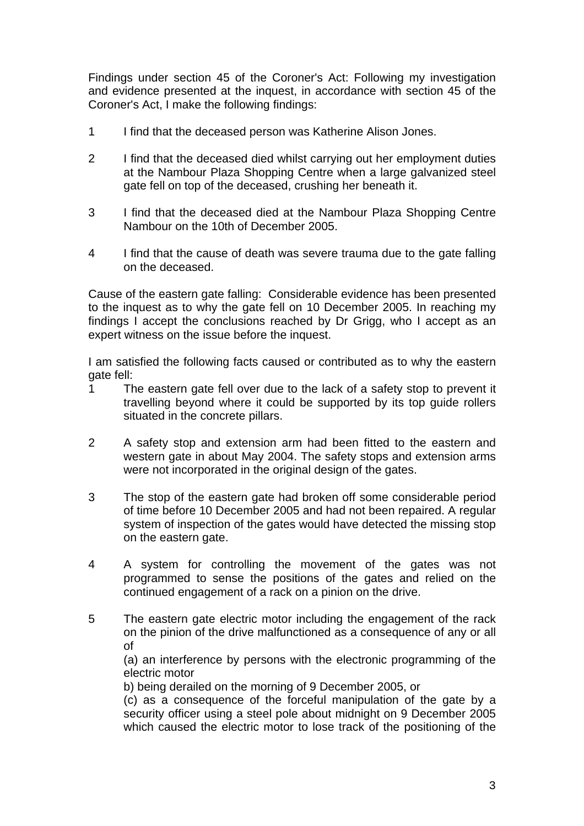Findings under section 45 of the Coroner's Act: Following my investigation and evidence presented at the inquest, in accordance with section 45 of the Coroner's Act, I make the following findings:

- 1 I find that the deceased person was Katherine Alison Jones.
- 2 I find that the deceased died whilst carrying out her employment duties at the Nambour Plaza Shopping Centre when a large galvanized steel gate fell on top of the deceased, crushing her beneath it.
- 3 I find that the deceased died at the Nambour Plaza Shopping Centre Nambour on the 10th of December 2005.
- 4 I find that the cause of death was severe trauma due to the gate falling on the deceased.

Cause of the eastern gate falling: Considerable evidence has been presented to the inquest as to why the gate fell on 10 December 2005. In reaching my findings I accept the conclusions reached by Dr Grigg, who I accept as an expert witness on the issue before the inquest.

I am satisfied the following facts caused or contributed as to why the eastern gate fell:

- 1 The eastern gate fell over due to the lack of a safety stop to prevent it travelling beyond where it could be supported by its top guide rollers situated in the concrete pillars.
- 2 A safety stop and extension arm had been fitted to the eastern and western gate in about May 2004. The safety stops and extension arms were not incorporated in the original design of the gates.
- 3 The stop of the eastern gate had broken off some considerable period of time before 10 December 2005 and had not been repaired. A regular system of inspection of the gates would have detected the missing stop on the eastern gate.
- 4 A system for controlling the movement of the gates was not programmed to sense the positions of the gates and relied on the continued engagement of a rack on a pinion on the drive.
- 5 The eastern gate electric motor including the engagement of the rack on the pinion of the drive malfunctioned as a consequence of any or all of

(a) an interference by persons with the electronic programming of the electric motor

b) being derailed on the morning of 9 December 2005, or

(c) as a consequence of the forceful manipulation of the gate by a security officer using a steel pole about midnight on 9 December 2005 which caused the electric motor to lose track of the positioning of the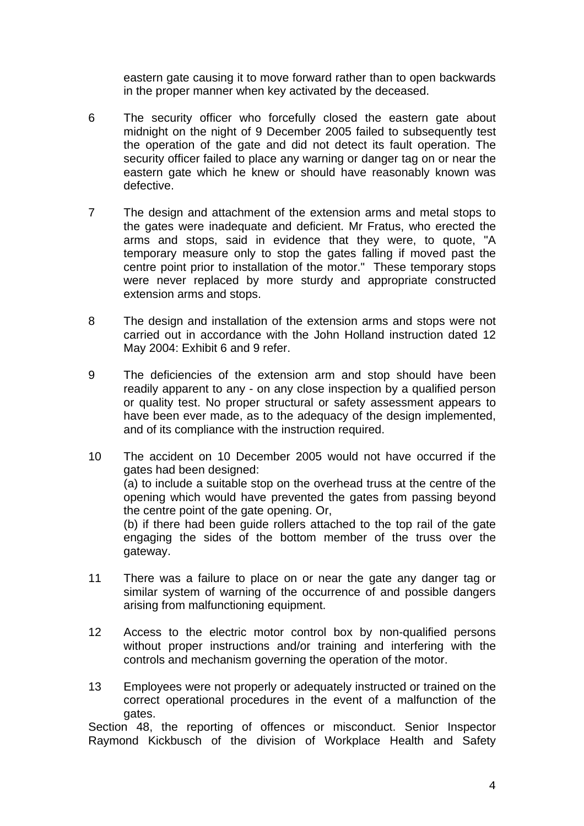eastern gate causing it to move forward rather than to open backwards in the proper manner when key activated by the deceased.

- 6 The security officer who forcefully closed the eastern gate about midnight on the night of 9 December 2005 failed to subsequently test the operation of the gate and did not detect its fault operation. The security officer failed to place any warning or danger tag on or near the eastern gate which he knew or should have reasonably known was defective.
- 7 The design and attachment of the extension arms and metal stops to the gates were inadequate and deficient. Mr Fratus, who erected the arms and stops, said in evidence that they were, to quote, "A temporary measure only to stop the gates falling if moved past the centre point prior to installation of the motor." These temporary stops were never replaced by more sturdy and appropriate constructed extension arms and stops.
- 8 The design and installation of the extension arms and stops were not carried out in accordance with the John Holland instruction dated 12 May 2004: Exhibit 6 and 9 refer.
- 9 The deficiencies of the extension arm and stop should have been readily apparent to any - on any close inspection by a qualified person or quality test. No proper structural or safety assessment appears to have been ever made, as to the adequacy of the design implemented, and of its compliance with the instruction required.
- 10 The accident on 10 December 2005 would not have occurred if the gates had been designed: (a) to include a suitable stop on the overhead truss at the centre of the opening which would have prevented the gates from passing beyond the centre point of the gate opening. Or, (b) if there had been guide rollers attached to the top rail of the gate engaging the sides of the bottom member of the truss over the gateway.
- 11 There was a failure to place on or near the gate any danger tag or similar system of warning of the occurrence of and possible dangers arising from malfunctioning equipment.
- 12 Access to the electric motor control box by non-qualified persons without proper instructions and/or training and interfering with the controls and mechanism governing the operation of the motor.
- 13 Employees were not properly or adequately instructed or trained on the correct operational procedures in the event of a malfunction of the gates.

Section 48, the reporting of offences or misconduct. Senior Inspector Raymond Kickbusch of the division of Workplace Health and Safety